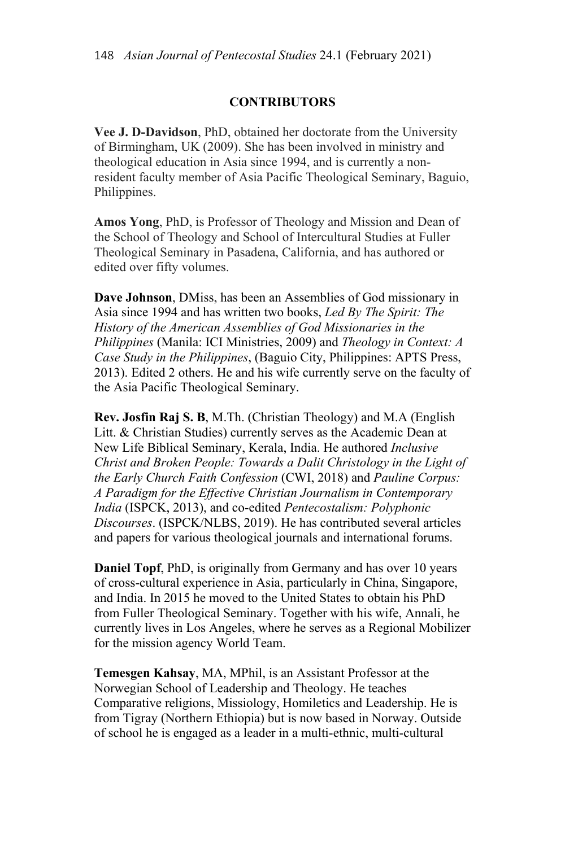## **CONTRIBUTORS**

**Vee J. D-Davidson**, PhD, obtained her doctorate from the University of Birmingham, UK (2009). She has been involved in ministry and theological education in Asia since 1994, and is currently a nonresident faculty member of Asia Pacific Theological Seminary, Baguio, Philippines.

**Amos Yong**, PhD, is Professor of Theology and Mission and Dean of the School of Theology and School of Intercultural Studies at Fuller Theological Seminary in Pasadena, California, and has authored or edited over fifty volumes.

**Dave Johnson**, DMiss, has been an Assemblies of God missionary in Asia since 1994 and has written two books, *Led By The Spirit: The History of the American Assemblies of God Missionaries in the Philippines* (Manila: ICI Ministries, 2009) and *Theology in Context: A Case Study in the Philippines*, (Baguio City, Philippines: APTS Press, 2013). Edited 2 others. He and his wife currently serve on the faculty of the Asia Pacific Theological Seminary.

**Rev. Josfin Raj S. B**, M.Th. (Christian Theology) and M.A (English Litt. & Christian Studies) currently serves as the Academic Dean at New Life Biblical Seminary, Kerala, India. He authored *Inclusive Christ and Broken People: Towards a Dalit Christology in the Light of the Early Church Faith Confession* (CWI, 2018) and *Pauline Corpus: A Paradigm for the Effective Christian Journalism in Contemporary India* (ISPCK, 2013), and co-edited *Pentecostalism: Polyphonic Discourses*. (ISPCK/NLBS, 2019). He has contributed several articles and papers for various theological journals and international forums.

**Daniel Topf**, PhD, is originally from Germany and has over 10 years of cross-cultural experience in Asia, particularly in China, Singapore, and India. In 2015 he moved to the United States to obtain his PhD from Fuller Theological Seminary. Together with his wife, Annali, he currently lives in Los Angeles, where he serves as a Regional Mobilizer for the mission agency World Team.

**Temesgen Kahsay**, MA, MPhil, is an Assistant Professor at the Norwegian School of Leadership and Theology. He teaches Comparative religions, Missiology, Homiletics and Leadership. He is from Tigray (Northern Ethiopia) but is now based in Norway. Outside of school he is engaged as a leader in a multi-ethnic, multi-cultural